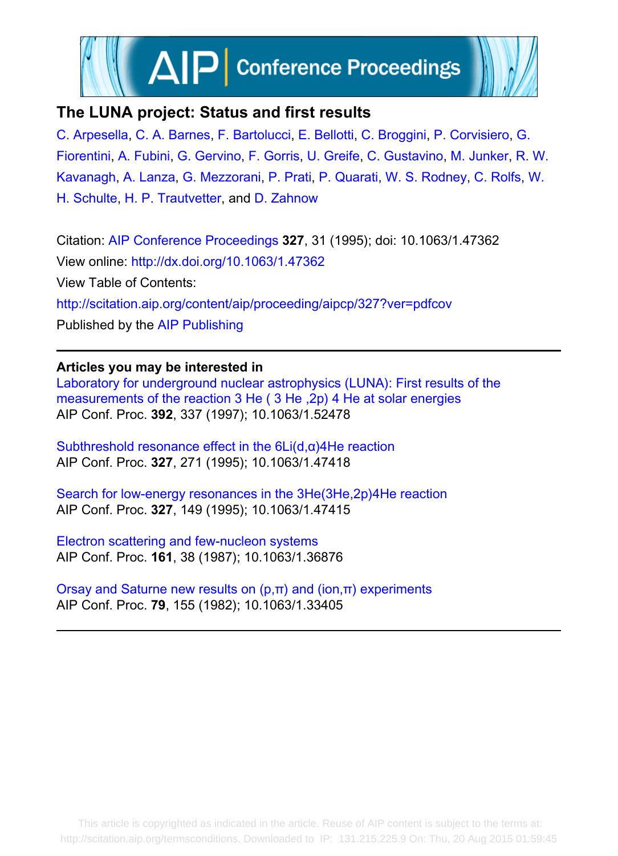

# **The LUNA project: Status and first results**

[C. Arpesella](http://scitation.aip.org/search?value1=C.+Arpesella&option1=author), [C. A. Barnes](http://scitation.aip.org/search?value1=C.+A.+Barnes&option1=author), [F. Bartolucci](http://scitation.aip.org/search?value1=F.+Bartolucci&option1=author), [E. Bellotti](http://scitation.aip.org/search?value1=E.+Bellotti&option1=author), [C. Broggini](http://scitation.aip.org/search?value1=C.+Broggini&option1=author), [P. Corvisiero,](http://scitation.aip.org/search?value1=P.+Corvisiero&option1=author) [G.](http://scitation.aip.org/search?value1=G.+Fiorentini&option1=author) [Fiorentini,](http://scitation.aip.org/search?value1=G.+Fiorentini&option1=author) [A. Fubini,](http://scitation.aip.org/search?value1=A.+Fubini&option1=author) [G. Gervino,](http://scitation.aip.org/search?value1=G.+Gervino&option1=author) [F. Gorris](http://scitation.aip.org/search?value1=F.+Gorris&option1=author), [U. Greife,](http://scitation.aip.org/search?value1=U.+Greife&option1=author) [C. Gustavino,](http://scitation.aip.org/search?value1=C.+Gustavino&option1=author) [M. Junker](http://scitation.aip.org/search?value1=M.+Junker&option1=author), [R. W.](http://scitation.aip.org/search?value1=R.+W.+Kavanagh&option1=author) [Kavanagh,](http://scitation.aip.org/search?value1=R.+W.+Kavanagh&option1=author) [A. Lanza,](http://scitation.aip.org/search?value1=A.+Lanza&option1=author) [G. Mezzorani,](http://scitation.aip.org/search?value1=G.+Mezzorani&option1=author) [P. Prati](http://scitation.aip.org/search?value1=P.+Prati&option1=author), [P. Quarati,](http://scitation.aip.org/search?value1=P.+Quarati&option1=author) [W. S. Rodney,](http://scitation.aip.org/search?value1=W.+S.+Rodney&option1=author) [C. Rolfs,](http://scitation.aip.org/search?value1=C.+Rolfs&option1=author) [W.](http://scitation.aip.org/search?value1=W.+H.+Schulte&option1=author) [H. Schulte,](http://scitation.aip.org/search?value1=W.+H.+Schulte&option1=author) [H. P. Trautvetter,](http://scitation.aip.org/search?value1=H.+P.+Trautvetter&option1=author) and [D. Zahnow](http://scitation.aip.org/search?value1=D.+Zahnow&option1=author)

Citation: [AIP Conference Proceedings](http://scitation.aip.org/content/aip/proceeding/aipcp?ver=pdfcov) **327**, 31 (1995); doi: 10.1063/1.47362 View online:<http://dx.doi.org/10.1063/1.47362> View Table of Contents: <http://scitation.aip.org/content/aip/proceeding/aipcp/327?ver=pdfcov> Published by the [AIP Publishing](http://scitation.aip.org/content/aip?ver=pdfcov)

## **Articles you may be interested in**

[Laboratory for underground nuclear astrophysics \(LUNA\): First results of the](http://scitation.aip.org/content/aip/proceeding/aipcp/10.1063/1.52478?ver=pdfcov) [measurements of the reaction 3 He \( 3 He ,2p\) 4 He at solar energies](http://scitation.aip.org/content/aip/proceeding/aipcp/10.1063/1.52478?ver=pdfcov) AIP Conf. Proc. **392**, 337 (1997); 10.1063/1.52478

[Subthreshold resonance effect in the 6Li\(d,α\)4He reaction](http://scitation.aip.org/content/aip/proceeding/aipcp/10.1063/1.47418?ver=pdfcov) AIP Conf. Proc. **327**, 271 (1995); 10.1063/1.47418

Search for low-energy resonances in the 3He(3He,2p)4He reaction AIP Conf. Proc. **327**, 149 (1995); 10.1063/1.47415

Electron scattering and few-nucleon systems AIP Conf. Proc. **161**, 38 (1987); 10.1063/1.36876

Orsay and Saturne new results on  $(p,π)$  and  $(ion,π)$  experiments AIP Conf. Proc. **79**, 155 (1982); 10.1063/1.33405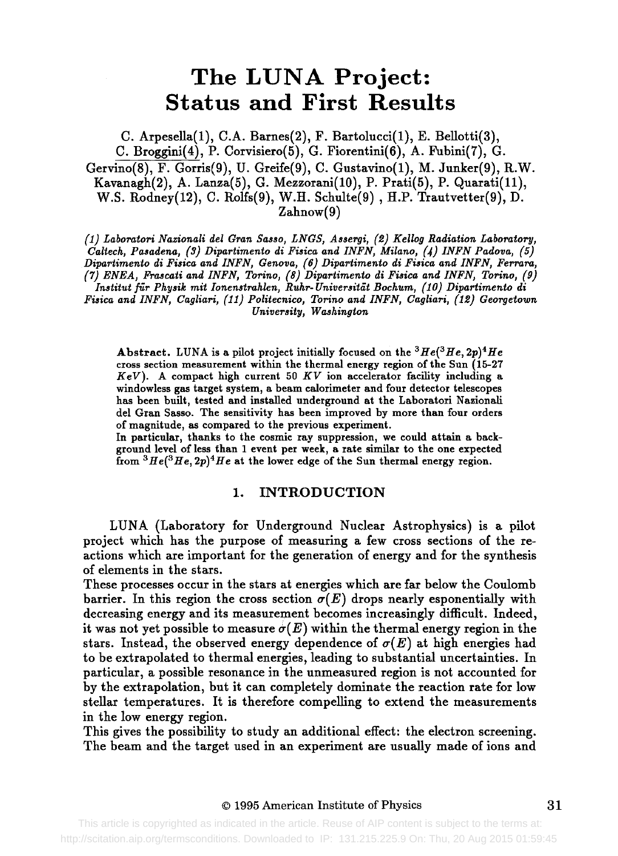# **The LUNA Project: Status and First Results**

C. Arpesella(1), C.A. Barnes(2), F. Bartolucci(1), E. Bellotti(3), C. Broggini(4), P. Corvisiero(5), G. Fiorentini(6), A. Fubini(7), G. Gervino(8), F. Gorris(9), V. Greife(9), C. Gustavino(1), M. Junker(9), R.W. Kavanagh(2), A. Lanza(5), G. Mezzorani(10), P. Prati(5), P. Quarati(ll), W.S. Rodney(12), C. Rolfs(9), W.H. Schulte(9) , H.P. Trautvetter(9), D. Zahnow(9)

*(I) Laboratori Nazionali del Gran Sasso, LNGS, Assergi, (5) Kellog Radiation Laboratory, Caltech, Pasadena, (3) Dipartimento di Fisica and INFN, Milano, (4) INFN Padova, (5) Dipartimento di Fisica and INFN, Genova, (6) Dipartimento di Fisica and INFN, Ferrara, (7) ENEA, Frascati and INFN, Torino, (8) Dipartimento di Pisica and INFN, Torino, (9) Institut für Physik mit Ionenstrahlen, Ruhr-Universität Bochum, (10) Dipartimento di Fisica and INFN, Cagliari, (11) Politecnico, Torino and INFN, Cagliari, (15) Georgetown* 

*University, Washington* 

Abstract. LUNA is a pilot project initially focused on the  ${}^{3}He({}^{3}He,2p){}^{4}He$ cross section measurement within the thermal energy region of the Sun (15-27 *KeV).* A compact high current 50 *KV* ion accelerator facility including a windowless gas target system, a beam calorimeter and four detector telescopes has been built, tested and installed underground at the Laboratori Nazionaii del Gran Sasso. The sensitivity has been improved by more than four orders of magnitude, as compared to the previous experiment.

In particular, thanks to the cosmic ray suppression, we could attain a background level of less than 1 event per week, a rate similar to the one expected from  ${}^{3}He({}^{3}He,2p){}^{4}He$  at the lower edge of the Sun thermal energy region.

#### 1. INTRODUCTION

LUNA (Laboratory for Underground Nuclear Astrophysics) is a pilot project which has the purpose of measuring a few cross sections of the reactions which are important for the generation of energy and for the synthesis of elements in the stars.

These processes occur in the stars at energies which are far below the Coulomb barrier. In this region the cross section  $\sigma(E)$  drops nearly esponentially with decreasing energy and its measurement becomes increasingly difficult. Indeed, it was not yet possible to measure  $\sigma(E)$  within the thermal energy region in the stars. Instead, the observed energy dependence of  $\sigma(E)$  at high energies had to be extrapolated to thermal energies, leading to substantial uncertainties. In particular, a possible resonance in the unmeasured region is not accounted for by the extrapolation, but it can completely dominate the reaction rate for low stellar temperatures. It is therefore compelling to extend the measurements in the low energy region.

This gives the possibility to study an additional effect: the electron screening. The beam and the target used in an experiment are usually made of ions and

http://scitation.aip.org/termsconditions. Downloaded to IP: 131.215.225.9 On: Thu, 20 Aug 2015 01:59:45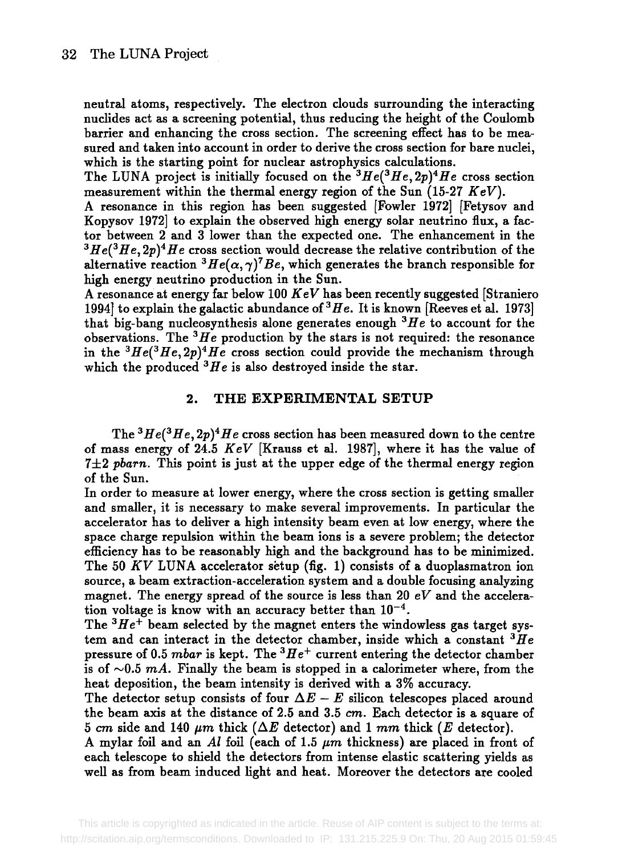neutral atoms, respectively. The electron clouds surrounding the interacting nuclides act as a screening potential, thus reducing the height of the Coulomb barrier and enhancing the cross section. The screening effect has to be measured and taken into account in order to derive the cross section for bare nuclei, which is the starting point for nuclear astrophysics calculations.

The LUNA project is initially focused on the  $^3He(^3He, 2p)^4He$  cross section measurement within the thermal energy region of the Sun (15-27 *KeV).* 

A resonance in this region has been suggested [Fowler 1972] [Fetysov and Kopysov 1972] to explain the observed high energy solar neutrino flux, a factor between 2 and 3 lower than the expected one. The enhancement in the  $3He^{3}He^{3}He$ ,  $2p)^{4}He$  cross section would decrease the relative contribution of the alternative reaction <sup>3</sup>He( $\alpha$ ,  $\gamma$ )<sup>7</sup>Be, which generates the branch responsible for high energy neutrino production in the Sun.

A resonance at energy far below 100 *KeV* has been recently suggested [Straniero 1994] to explain the galactic abundance of  $^3He$ . It is known [Reeves et al. 1973] that big-bang nucleosynthesis alone generates enough  ${}^{3}He$  to account for the observations. The *3He* production by the stars is not required: the resonance in the  ${}^{3}He({}^{3}He,2p){}^{4}He$  cross section could provide the mechanism through which the produced  ${}^{3}He$  is also destroyed inside the star.

#### 2. THE EXPERIMENTAL SETUP

The <sup>3</sup>He(<sup>3</sup>He, 2p)<sup>4</sup>He cross section has been measured down to the centre of mass energy of 24.5 *KeV* [Kranss et al. 1987], where it has the value of  $7\pm2$  pbarn. This point is just at the upper edge of the thermal energy region of the Sun.

In order to measure at lower energy, where the cross section is getting smaller and smaller, it is necessary to make several improvements. In particular the accelerator has to deliver a high intensity beam even at low energy, where the space charge repulsion within the beam ions is a severe problem; the detector efficiency has to be reasonably high and the background has to be minimized. The 50  $KV$  LUNA accelerator setup (fig. 1) consists of a duoplasmatron ion source, a beam extraction-acceleration system and a double focusing analyzing magnet. The energy spread of the source is less than 20  $eV$  and the acceleration voltage is know with an accuracy better than  $10^{-4}$ .

The  $3He<sup>+</sup>$  beam selected by the magnet enters the windowless gas target system and can interact in the detector chamber, inside which a constant  $^3He$ pressure of 0.5 *mbar* is kept. The *3He+* current entering the detector chamber is of  $\sim 0.5$  mA. Finally the beam is stopped in a calorimeter where, from the heat deposition, the beam intensity is derived with a 3% accuracy.

The detector setup consists of four  $\Delta E - E$  silicon telescopes placed around the beam axis at the distance of 2.5 and 3.5 cm. Each detector is a square of 5 cm side and 140  $\mu$ m thick ( $\Delta E$  detector) and 1 mm thick (E detector).

A mylar foil and an *Al* foil (each of 1.5 *pm* thickness) are placed in front of each telescope to shield the detectors from intense elastic scattering yields as well as from beam induced fight and heat. Moreover the detectors are cooled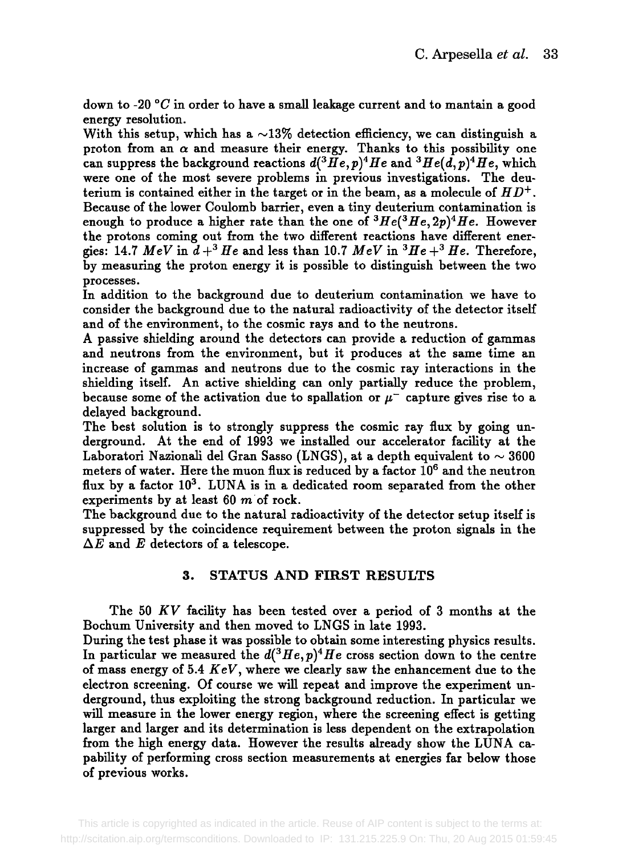down to -20  $\degree$ C in order to have a small leakage current and to mantain a good energy resolution.

With this setup, which has a  $\sim$ 13% detection efficiency, we can distinguish a proton from an  $\alpha$  and measure their energy. Thanks to this possibility one can suppress the background reactions  $d^{3}He, p)^{4}He$  and  $^{3}He(d, p)^{4}He$ , which were one of the most severe problems in previous investigations. The deuterium is contained either in the target or in the beam, as a molecule of  $HD^+$ . Because of the lower Coulomb barrier, even a tiny deuterium contamination is enough to produce a higher rate than the one of  $^3He(^3He,2p)^4He$ . However the protons coming out from the two different reactions have different energies: 14.7  $MeV$  in  $d+^3He$  and less than 10.7  $MeV$  in  ${}^3He+{}^3He$ . Therefore, by measuring the proton energy it is possible to distinguish between the two processes.

In addition to the background due to deuterium contamination we have to consider the background due to the natural radioactivity of the detector itself and of the environment, to the cosmic rays and to the neutrons.

A passive shielding around the detectors can provide a reduction of gammas and neutrons from the environment, but it produces at the same time an increase of gammas and neutrons due to the cosmic ray interactions in the shielding itself. An active shielding can only partially reduce the problem, because some of the activation due to spallation or  $\mu^-$  capture gives rise to a delayed background.

The best solution is to strongly suppress the cosmic ray flux by going underground. At the end of 1993 we installed our accelerator facility at the Laboratori Nazionali del Gran Sasso (LNGS), at a depth equivalent to  $\sim 3600$ meters of water. Here the muon flux is reduced by a factor  $10^6$  and the neutron flux by a factor  $10^3$ . LUNA is in a dedicated room separated from the other experiments by at least 60  $m$  of rock.

The background due to the natural radioactivity of the detector setup itself is suppressed by the coincidence requirement between the proton signals in the  $\Delta E$  and E detectors of a telescope.

### 3. STATUS AND FIRST RESULTS

The 50 *KV* facility has been tested over a period of 3 months at the Bochum University and then moved to LNGS in late 1993.

During the test phase it was possible to obtain some interesting physics results. In particular we measured the  $d^{3}He, p)^{4}He$  cross section down to the centre of mass energy of 5.4 *KeV,* where we clearly saw the enhancement due to the electron screening. Of course we will repeat and improve the experiment underground, thus exploiting the strong background reduction. In particular we will measure in the lower energy region, where the screening effect is getting larger and larger and its determination is less dependent on the extrapolation from the high energy data. However the results already show the LUNA capability of performing cross section measurements at energies far below those of previous works.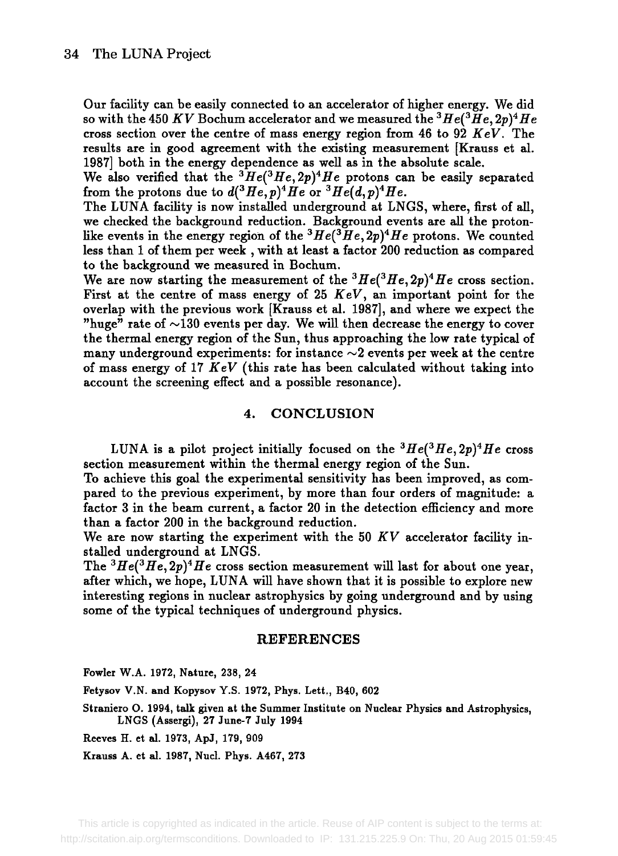Our facility can be easily connected to an accelerator of higher energy. We did so with the 450 KV Bochum accelerator and we measured the <sup>3</sup>He(<sup>3</sup>He, 2p)<sup>4</sup>He cross section over the centre of mass energy region from 46 to 92 *KeV.* The results are in good agreement with the existing measurement [Krauss et al. 1987] both in the energy dependence as well as in the absolute scale.

We also verified that the  ${}^{3}He({}^{3}He,2p){}^{4}He$  protons can be easily separated from the protons due to  $d^{3}He, p)^{4}He$  or  $^{3}He(d,p)^{4}He$ .

The LUNA facility is now installed underground at LNGS, where, first of all, we checked the background reduction. Background events are all the protonlike events in the energy region of the <sup>3</sup>He(<sup>3</sup>He, 2p)<sup>4</sup>He protons. We counted less than 1 of them per week, with at least a factor 200 reduction as compared to the background we measured in Bochum.

We are now starting the measurement of the  $^3He(^3He, 2p)^4He$  cross section. First at the centre of mass energy of 25 *KeV,* an important point for the overlap with the previous work [Krauss et al. 1987], and where we expect the "huge" rate of  $\sim$ 130 events per day. We will then decrease the energy to cover the thermal energy region of the Sun, thus approaching the low rate typical of many underground experiments: for instance  $\sim$ 2 events per week at the centre of mass energy of 17 *KeV* (this rate has been calculated without taking into account the screening effect and a possible resonance).

#### **4. CONCLUSION**

LUNA is a pilot project initially focused on the  $^3He(^3He, 2p)^4He$  cross section measurement within the thermal energy region of the Sun.

To achieve this goal the experimental sensitivity has been improved, as compared to the previous experiment, by more than four orders of magnitude: **a**  factor 3 in the beam current, a factor 20 in the detection efficiency and more than a factor 200 in the background reduction.

We are now starting the experiment with the 50 *KV* accelerator facility installed underground at LNGS.

The <sup>3</sup>He(<sup>3</sup>He, 2p)<sup>4</sup>He cross section measurement will last for about one year, after which, we hope, LUNA will have shown that it is possible to explore new interesting regions in nuclear astrophysics by going underground and by using some of the typical techniques of underground physics.

#### **REFERENCES**

Fowler W.A. 1972, Nature, 238, 24

Fetysov V.N. and Kopysov Y.S. 1972, Phys. Lett,, B40, 602

Straniero O. 1994, talk given at the Summer Institute on Nuclear Physics and Astrophysics, LNGS (Assergi), 27 June-7 July 1994

Reeves H. et al. 1973, ApJ, 179, 909

Krauss A. et al. 1987, Nucl. Phys. A467, 273